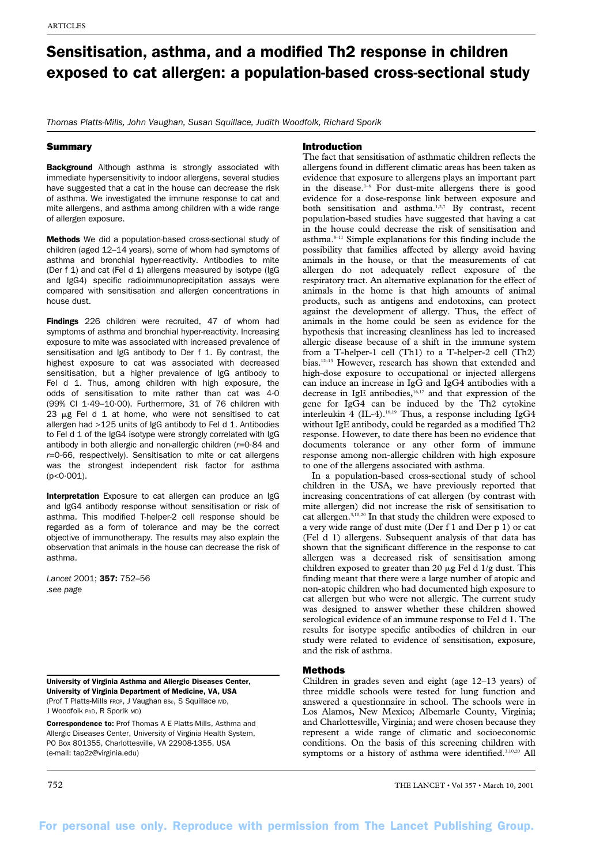# Sensitisation, asthma, and a modified Th2 response in children exposed to cat allergen: a population-based cross-sectional study

*Thomas Platts-Mills, John Vaughan, Susan Squillace, Judith Woodfolk, Richard Sporik*

## **Summary**

**Background** Although asthma is strongly associated with immediate hypersensitivity to indoor allergens, several studies have suggested that a cat in the house can decrease the risk of asthma. We investigated the immune response to cat and mite allergens, and asthma among children with a wide range of allergen exposure.

Methods We did a population-based cross-sectional study of children (aged 12–14 years), some of whom had symptoms of asthma and bronchial hyper-reactivity. Antibodies to mite (Der f 1) and cat (Fel d 1) allergens measured by isotype (IgG and IgG4) specific radioimmunoprecipitation assays were compared with sensitisation and allergen concentrations in house dust.

Findings 226 children were recruited, 47 of whom had symptoms of asthma and bronchial hyper-reactivity. Increasing exposure to mite was associated with increased prevalence of sensitisation and IgG antibody to Der f 1. By contrast, the highest exposure to cat was associated with decreased sensitisation, but a higher prevalence of IgG antibody to Fel d 1. Thus, among children with high exposure, the odds of sensitisation to mite rather than cat was 4·0 (99% CI 1·49–10·00). Furthermore, 31 of 76 children with 23  $\mu$ g Fel d 1 at home, who were not sensitised to cat allergen had >125 units of IgG antibody to Fel d 1. Antibodies to Fel d 1 of the IgG4 isotype were strongly correlated with IgG antibody in both allergic and non-allergic children (*r*=0·84 and *r*=0·66, respectively). Sensitisation to mite or cat allergens was the strongest independent risk factor for asthma  $(p < 0.001)$ .

Interpretation Exposure to cat allergen can produce an IgG and IgG4 antibody response without sensitisation or risk of asthma. This modified T-helper-2 cell response should be regarded as a form of tolerance and may be the correct objective of immunotherapy. The results may also explain the observation that animals in the house can decrease the risk of asthma.

*Lancet* 2001; 357: 752–56 *.see page*

University of Virginia Asthma and Allergic Diseases Center, University of Virginia Department of Medicine, VA, USA (Prof T Platts-Mills FRCP, J Vaughan BSc, S Squillace MD, J Woodfolk PhD, R Sporik MD)

Correspondence to: Prof Thomas A E Platts-Mills, Asthma and Allergic Diseases Center, University of Virginia Health System, PO Box 801355, Charlottesville, VA 22908-1355, USA (e-mail: tap2z@virginia.edu)

# Introduction

The fact that sensitisation of asthmatic children reflects the allergens found in different climatic areas has been taken as evidence that exposure to allergens plays an important part in the disease. $1-6$  For dust-mite allergens there is good evidence for a dose-response link between exposure and both sensitisation and asthma.<sup>1,2,7</sup> By contrast, recent population-based studies have suggested that having a cat in the house could decrease the risk of sensitisation and asthma.8–11 Simple explanations for this finding include the possibility that families affected by allergy avoid having animals in the house, or that the measurements of cat allergen do not adequately reflect exposure of the respiratory tract. An alternative explanation for the effect of animals in the home is that high amounts of animal products, such as antigens and endotoxins, can protect against the development of allergy. Thus, the effect of animals in the home could be seen as evidence for the hypothesis that increasing cleanliness has led to increased allergic disease because of a shift in the immune system from a T-helper-1 cell (Th1) to a T-helper-2 cell (Th2) bias.12–15 However, research has shown that extended and high-dose exposure to occupational or injected allergens can induce an increase in IgG and IgG4 antibodies with a decrease in IgE antibodies, $16,17$  and that expression of the gene for IgG4 can be induced by the Th2 cytokine interleukin  $\frac{4}{1}$  (IL-4).<sup>18,19</sup> Thus, a response including IgG4 without IgE antibody, could be regarded as a modified Th2 response. However, to date there has been no evidence that documents tolerance or any other form of immune response among non-allergic children with high exposure to one of the allergens associated with asthma.

In a population-based cross-sectional study of school children in the USA, we have previously reported that increasing concentrations of cat allergen (by contrast with mite allergen) did not increase the risk of sensitisation to cat allergen.3,10,20 In that study the children were exposed to a very wide range of dust mite (Der f 1 and Der p 1) or cat (Fel d 1) allergens. Subsequent analysis of that data has shown that the significant difference in the response to cat allergen was a decreased risk of sensitisation among children exposed to greater than 20  $\mu$ g Fel d 1/g dust. This finding meant that there were a large number of atopic and non-atopic children who had documented high exposure to cat allergen but who were not allergic. The current study was designed to answer whether these children showed serological evidence of an immune response to Fel d 1. The results for isotype specific antibodies of children in our study were related to evidence of sensitisation, exposure, and the risk of asthma.

# Methods

Children in grades seven and eight (age 12–13 years) of three middle schools were tested for lung function and answered a questionnaire in school. The schools were in Los Alamos, New Mexico; Albemarle County, Virginia; and Charlottesville, Virginia; and were chosen because they represent a wide range of climatic and socioeconomic conditions. On the basis of this screening children with symptoms or a history of asthma were identified.<sup>3,10,20</sup> All

752 THE LANCET • Vol 357 • March 10, 2001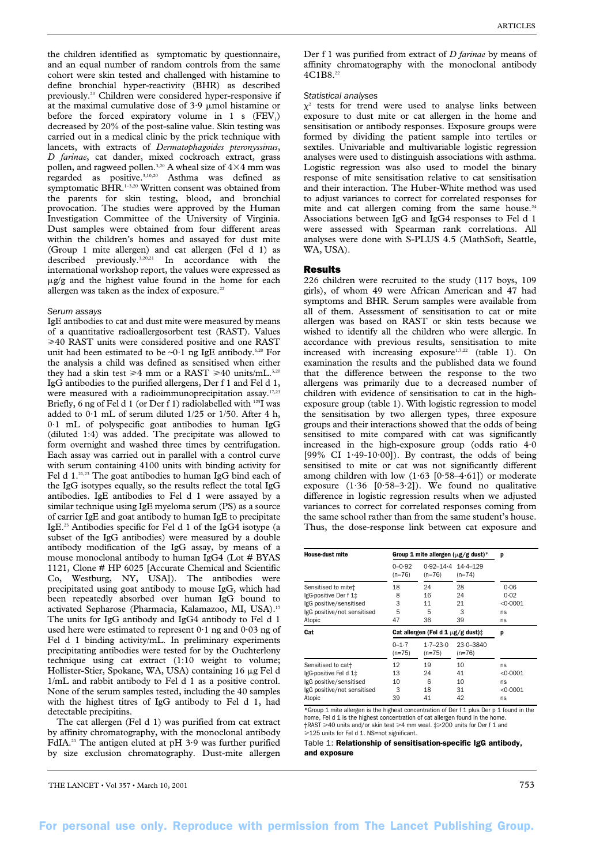the children identified as symptomatic by questionnaire, and an equal number of random controls from the same cohort were skin tested and challenged with histamine to define bronchial hyper-reactivity (BHR) as described previously.20 Children were considered hyper-responsive if at the maximal cumulative dose of  $3.9 \mu$ mol histamine or before the forced expiratory volume in 1 s  $(FEV_1)$ decreased by 20% of the post-saline value. Skin testing was carried out in a medical clinic by the prick technique with lancets, with extracts of *Dermatophagoides pteronyssinus*, *D farinae*, cat dander, mixed cockroach extract, grass pollen, and ragweed pollen.<sup>3,20</sup> A wheal size of  $4\times 4$  mm was regarded as positive.3,10,20 Asthma was defined as symptomatic BHR.<sup>1–3,20</sup> Written consent was obtained from the parents for skin testing, blood, and bronchial provocation. The studies were approved by the Human Investigation Committee of the University of Virginia. Dust samples were obtained from four different areas within the children's homes and assayed for dust mite (Group 1 mite allergen) and cat allergen (Fel d 1) as described previously.3,20,21 In accordance with the international workshop report, the values were expressed as  $\mu$ g/g and the highest value found in the home for each allergen was taken as the index of exposure.<sup>22</sup>

### *Serum assays*

IgE antibodies to cat and dust mite were measured by means of a quantitative radioallergosorbent test (RAST). Values 40 RAST units were considered positive and one RAST unit had been estimated to be  $\neg 0.1$  ng IgE antibody.<sup>6,20</sup> For the analysis a child was defined as sensitised when either they had a skin test  $\geq 4$  mm or a RAST  $\geq 40$  units/mL.<sup>3,20</sup> IgG antibodies to the purified allergens, Der f 1 and Fel d 1, were measured with a radioimmunoprecipitation assay.<sup>17,23</sup> Briefly, 6 ng of Fel d 1 (or Der f 1) radiolabelled with <sup>125</sup>I was added to  $0.1$  mL of serum diluted  $1/25$  or  $1/50$ . After 4 h, 0·1 mL of polyspecific goat antibodies to human IgG (diluted 1:4) was added. The precipitate was allowed to form overnight and washed three times by centrifugation. Each assay was carried out in parallel with a control curve with serum containing 4100 units with binding activity for Fel d 1.21,23 The goat antibodies to human IgG bind each of the IgG isotypes equally, so the results reflect the total IgG antibodies. IgE antibodies to Fel d 1 were assayed by a similar technique using IgE myeloma serum (PS) as a source of carrier IgE and goat antibody to human IgE to precipitate IgE.23 Antibodies specific for Fel d 1 of the IgG4 isotype (a subset of the IgG antibodies) were measured by a double antibody modification of the IgG assay, by means of a mouse monoclonal antibody to human IgG4 (Lot # BYAS 1121, Clone # HP 6025 [Accurate Chemical and Scientific Co, Westburg, NY, USA]). The antibodies were precipitated using goat antibody to mouse IgG, which had been repeatedly absorbed over human IgG bound to activated Sepharose (Pharmacia, Kalamazoo, MI, USA).17 The units for IgG antibody and IgG4 antibody to Fel d 1 used here were estimated to represent  $0.1$  ng and  $0.03$  ng of Fel d 1 binding activity/mL. In preliminary experiments precipitating antibodies were tested for by the Ouchterlony technique using cat extract (1:10 weight to volume; Hollister-Stier, Spokane, WA, USA) containing 16 µg Fel d 1/mL and rabbit antibody to Fel d 1 as a positive control. None of the serum samples tested, including the 40 samples with the highest titres of IgG antibody to Fel d 1, had detectable precipitins.

The cat allergen (Fel d 1) was purified from cat extract by affinity chromatography, with the monoclonal antibody FdIA.21 The antigen eluted at pH 3·9 was further purified by size exclusion chromatography. Dust-mite allergen

Der f 1 was purified from extract of *D farinae* by means of affinity chromatography with the monoclonal antibody 4C1B8.22

#### *Statistical analyses*

 $\chi^2$  tests for trend were used to analyse links between exposure to dust mite or cat allergen in the home and sensitisation or antibody responses. Exposure groups were formed by dividing the patient sample into tertiles or sextiles. Univariable and multivariable logistic regression analyses were used to distinguish associations with asthma. Logistic regression was also used to model the binary response of mite sensitisation relative to cat sensitisation and their interaction. The Huber-White method was used to adjust variances to correct for correlated responses for mite and cat allergen coming from the same house.<sup>24</sup> Associations between IgG and IgG4 responses to Fel d 1 were assessed with Spearman rank correlations. All analyses were done with S-PLUS 4.5 (MathSoft, Seattle, WA, USA).

## Results

226 children were recruited to the study (117 boys, 109 girls), of whom 49 were African American and 47 had symptoms and BHR. Serum samples were available from all of them. Assessment of sensitisation to cat or mite allergen was based on RAST or skin tests because we wished to identify all the children who were allergic. In accordance with previous results, sensitisation to mite increased with increasing exposure<sup>1,7,22</sup> (table 1). On examination the results and the published data we found that the difference between the response to the two allergens was primarily due to a decreased number of children with evidence of sensitisation to cat in the highexposure group (table 1). With logistic regression to model the sensitisation by two allergen types, three exposure groups and their interactions showed that the odds of being sensitised to mite compared with cat was significantly increased in the high-exposure group (odds ratio 4·0 [99% CI 1·49-10·00]). By contrast, the odds of being sensitised to mite or cat was not significantly different among children with low  $(1.63 \, [0.58-4.61])$  or moderate exposure  $(1.36 \quad [0.58-3.2])$ . We found no qualitative difference in logistic regression results when we adjusted variances to correct for correlated responses coming from the same school rather than from the same student's house. Thus, the dose-response link between cat exposure and

| <b>House-dust mite</b>                                                                                           | Group 1 mite allergen ( $\mu$ g/g dust)* | p                                                |                           |                                      |
|------------------------------------------------------------------------------------------------------------------|------------------------------------------|--------------------------------------------------|---------------------------|--------------------------------------|
|                                                                                                                  | $0 - 0.92$<br>$(n=76)$                   | $0.92 - 14.4$ 14.4-129<br>$(n=76)$               | $(n=74)$                  |                                      |
| Sensitised to mite+<br>IgG-positive Der f 1‡<br>IgG positive/sensitised<br>IgG positive/not sensitised<br>Atopic | 18<br>8<br>3<br>5<br>47                  | 24<br>16<br>11<br>5<br>36                        | 28<br>24<br>21<br>3<br>39 | 0.06<br>0.02<br>< 0.0001<br>ns<br>ns |
|                                                                                                                  |                                          |                                                  |                           |                                      |
| Cat                                                                                                              |                                          | Cat allergen (Fel d 1 $\mu$ g/g dust) $\ddagger$ |                           | p                                    |
|                                                                                                                  | $0 - 1.7$<br>$(n=75)$                    | $1 - 7 - 23.0$<br>$(n=75)$                       | $23.0 - 3840$<br>$(n=76)$ |                                      |

\*Group 1 mite allergen is the highest concentration of Der f 1 plus Der p 1 found in the home, Fel d 1 is the highest concentration of cat allergen found in the home  $\dagger$ RAST  $\geqslant$ 40 units and/or skin test  $\geqslant$ 4 mm weal.  $\ddagger \geqslant$ 200 units for Der f 1 and ≥125 units for Fel d 1. NS=not significant.

Table 1: Relationship of sensitisation-specific IgG antibody, and exposure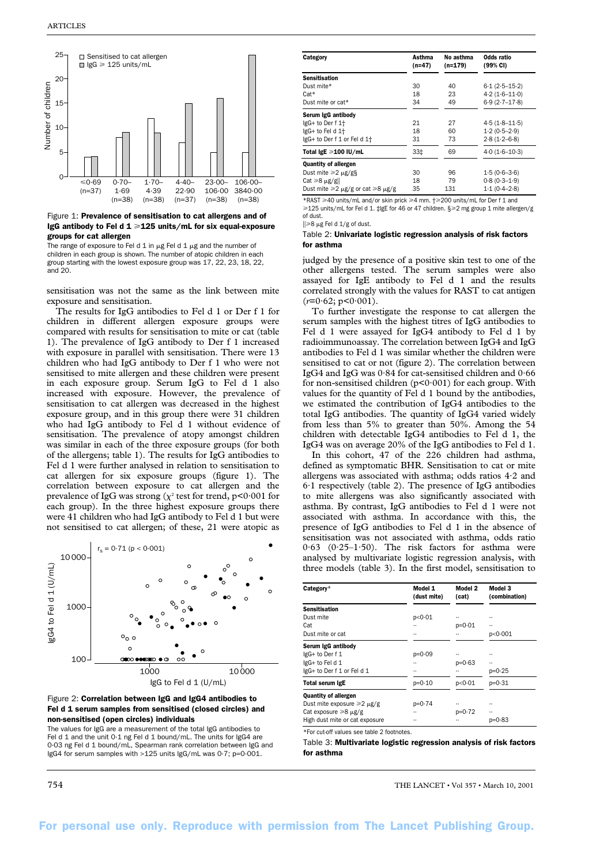

Figure 1: Prevalence of sensitisation to cat allergens and of IgG antibody to Fel d  $1 \ge 125$  units/mL for six equal-exposure groups for cat allergen

The range of exposure to Fel d 1 in  $\mu$ g Fel d 1  $\mu$ g and the number of children in each group is shown. The number of atopic children in each group starting with the lowest exposure group was 17, 22, 23, 18, 22, and 20.

sensitisation was not the same as the link between mite exposure and sensitisation.

The results for IgG antibodies to Fel d 1 or Der f 1 for children in different allergen exposure groups were compared with results for sensitisation to mite or cat (table 1). The prevalence of IgG antibody to Der f 1 increased with exposure in parallel with sensitisation. There were 13 children who had IgG antibody to Der f 1 who were not sensitised to mite allergen and these children were present in each exposure group. Serum IgG to Fel d 1 also increased with exposure. However, the prevalence of sensitisation to cat allergen was decreased in the highest exposure group, and in this group there were 31 children who had IgG antibody to Fel d 1 without evidence of sensitisation. The prevalence of atopy amongst children was similar in each of the three exposure groups (for both of the allergens; table 1). The results for IgG antibodies to Fel d 1 were further analysed in relation to sensitisation to cat allergen for six exposure groups (figure 1). The correlation between exposure to cat allergen and the prevalence of IgG was strong  $(\chi^{\scriptscriptstyle 2}$  test for trend, p<0·001 for each group). In the three highest exposure groups there were 41 children who had IgG antibody to Fel d 1 but were not sensitised to cat allergen; of these, 21 were atopic as





The values for IgG are a measurement of the total IgG antibodies to Fel d 1 and the unit 0.1 ng Fel d 1 bound/mL. The units for IgG4 are 0·03 ng Fel d 1 bound/mL, Spearman rank correlation between IgG and IgG4 for serum samples with >125 units IgG/mL was 0·7; p=0·001.

| Category                                     | Asthma<br>$(n=47)$ | No asthma<br>$(n=179)$ | Odds ratio<br>(99% CI) |
|----------------------------------------------|--------------------|------------------------|------------------------|
| Sensitisation                                |                    |                        |                        |
| Dust mite*                                   | 30                 | 40                     | $6.1(2.5-15.2)$        |
| Cat*                                         | 18                 | 23                     | $4.2(1.6-11.0)$        |
| Dust mite or cat*                            | 34                 | 49                     | $6.9(2.7-17.8)$        |
| Serum IgG antibody                           |                    |                        |                        |
| IgG+ to Der f 1+                             | 21                 | 27                     | $4.5(1.8 - 11.5)$      |
| IgG+ to Fel d 1+                             | 18                 | 60                     | $1.2(0.5-2.9)$         |
| IgG+ to Der f 1 or Fel d 1+                  | 31                 | 73                     | $2.8(1.2 - 6.8)$       |
| Total IgE ≥100 IU/mL                         | 33‡                | 69                     | $4.0(1.6-10.3)$        |
| Quantity of allergen                         |                    |                        |                        |
| Dust mite $\geq 2 \mu g/gS$                  | 30                 | 96                     | $1.5(0.6-3.6)$         |
| Cat ≥8 µg/g                                  | 18                 | 79                     | $0.8(0.3 - 1.9)$       |
| Dust mite $\geq 2$ µg/g or cat $\geq 8$ µg/g | 35                 | 131                    | $1.1(0.4-2.8)$         |

\*RAST ≥40 units/mL and/or skin prick ≥4 mm.  $\dagger$ ≥200 units/mL for Der f 1 and ≥125 units/mL for Fel d 1. ‡IgE for 46 or 47 children. §≥2 mg group 1 mite allergen/g of dust.

 $|| \geq 8$  µg Fel d 1/g of dust.

## Table 2: Univariate logistic regression analysis of risk factors for asthma

judged by the presence of a positive skin test to one of the other allergens tested. The serum samples were also assayed for IgE antibody to Fel d 1 and the results correlated strongly with the values for RAST to cat antigen  $(r=0.62; p<0.001)$ .

To further investigate the response to cat allergen the serum samples with the highest titres of IgG antibodies to Fel d 1 were assayed for IgG4 antibody to Fel d 1 by radioimmunoassay. The correlation between IgG4 and IgG antibodies to Fel d 1 was similar whether the children were sensitised to cat or not (figure 2). The correlation between IgG4 and IgG was 0·84 for cat-sensitised children and 0·66 for non-sensitised children  $(p<0.001)$  for each group. With values for the quantity of Fel d 1 bound by the antibodies, we estimated the contribution of IgG4 antibodies to the total IgG antibodies. The quantity of IgG4 varied widely from less than 5% to greater than 50%. Among the 54 children with detectable IgG4 antibodies to Fel d 1, the IgG4 was on average 20% of the IgG antibodies to Fel d 1.

In this cohort, 47 of the 226 children had asthma, defined as symptomatic BHR. Sensitisation to cat or mite allergens was associated with asthma; odds ratios 4·2 and 6·1 respectively (table 2). The presence of IgG antibodies to mite allergens was also significantly associated with asthma. By contrast, IgG antibodies to Fel d 1 were not associated with asthma. In accordance with this, the presence of IgG antibodies to Fel d 1 in the absence of sensitisation was not associated with asthma, odds ratio 0·63 (0·25–1·50). The risk factors for asthma were analysed by multivariate logistic regression analysis, with three models (table 3). In the first model, sensitisation to

| Category*                                  | Model 1<br>(dust mite) | Model 2<br>(cat) | Model 3<br>(combination) |
|--------------------------------------------|------------------------|------------------|--------------------------|
| Sensitisation                              |                        |                  |                          |
| Dust mite                                  | p<0.01                 |                  |                          |
| Cat                                        |                        | $p = 0.01$       |                          |
| Dust mite or cat                           |                        |                  | p<0.001                  |
| Serum IgG antibody                         |                        |                  |                          |
| lgG+ to Der f 1                            | $p = 0.09$             |                  |                          |
| IgG+ to Fel d 1                            |                        | $p = 0.63$       |                          |
| IgG+ to Der f 1 or Fel d 1                 |                        |                  | $p = 0.25$               |
| Total serum IgE                            | $p = 0.10$             | p<0.01           | $p = 0.31$               |
| Quantity of allergen                       |                        |                  |                          |
| Dust mite exposure ≥2 μg/g                 | p=0-74                 |                  |                          |
| Cat exposure ≥8 µg/g                       |                        | $p = 0.72$       |                          |
| High dust mite or cat exposure             |                        |                  | $p = 0.83$               |
| *For cut-off values see table 2 footnotes. |                        |                  |                          |

Table 3: Multivariate logistic regression analysis of risk factors for asthma

754 THE LANCET • Vol 357 • March 10, 2001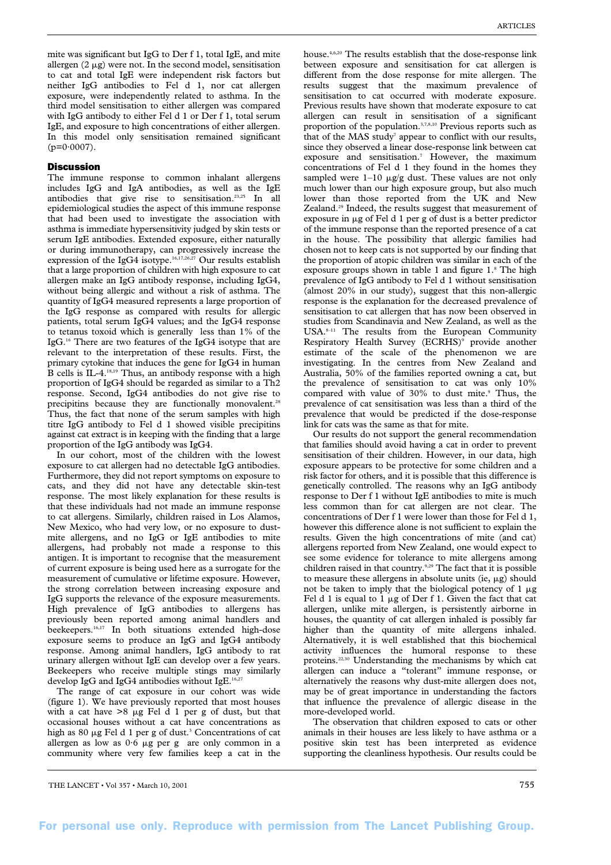mite was significant but IgG to Der f 1, total IgE, and mite allergen  $(2 \mu g)$  were not. In the second model, sensitisation to cat and total IgE were independent risk factors but neither IgG antibodies to Fel d 1, nor cat allergen exposure, were independently related to asthma. In the third model sensitisation to either allergen was compared with IgG antibody to either Fel d 1 or Der f 1, total serum IgE, and exposure to high concentrations of either allergen. In this model only sensitisation remained significant  $(p=0.0007)$ .

## **Discussion**

The immune response to common inhalant allergens includes IgG and IgA antibodies, as well as the IgE antibodies that give rise to sensitisation.23,25 In all epidemiological studies the aspect of this immune response that had been used to investigate the association with asthma is immediate hypersensitivity judged by skin tests or serum IgE antibodies. Extended exposure, either naturally or during immunotherapy, can progressively increase the expression of the IgG4 isotype.<sup>16,17,26,27</sup> Our results establish that a large proportion of children with high exposure to cat allergen make an IgG antibody response, including IgG4, without being allergic and without a risk of asthma. The quantity of IgG4 measured represents a large proportion of the IgG response as compared with results for allergic patients, total serum IgG4 values; and the IgG4 response to tetanus toxoid which is generally less than 1% of the IgG.16 There are two features of the IgG4 isotype that are relevant to the interpretation of these results. First, the primary cytokine that induces the gene for IgG4 in human B cells is IL-4.18,19 Thus, an antibody response with a high proportion of IgG4 should be regarded as similar to a Th2 response. Second, IgG4 antibodies do not give rise to precipitins because they are functionally monovalent.<sup>28</sup> Thus, the fact that none of the serum samples with high titre IgG antibody to Fel d 1 showed visible precipitins against cat extract is in keeping with the finding that a large proportion of the IgG antibody was IgG4.

In our cohort, most of the children with the lowest exposure to cat allergen had no detectable IgG antibodies. Furthermore, they did not report symptoms on exposure to cats, and they did not have any detectable skin-test response. The most likely explanation for these results is that these individuals had not made an immune response to cat allergens. Similarly, children raised in Los Alamos, New Mexico, who had very low, or no exposure to dustmite allergens, and no IgG or IgE antibodies to mite allergens, had probably not made a response to this antigen. It is important to recognise that the measurement of current exposure is being used here as a surrogate for the measurement of cumulative or lifetime exposure. However, the strong correlation between increasing exposure and IgG supports the relevance of the exposure measurements. High prevalence of IgG antibodies to allergens has previously been reported among animal handlers and beekeepers.16,17 In both situations extended high-dose exposure seems to produce an IgG and IgG4 antibody response. Among animal handlers, IgG antibody to rat urinary allergen without IgE can develop over a few years. Beekeepers who receive multiple stings may similarly develop IgG and IgG4 antibodies without IgE.<sup>16,2</sup>

The range of cat exposure in our cohort was wide (figure 1). We have previously reported that most houses with a cat have  $>8$   $\mu$ g Fel d 1 per g of dust, but that occasional houses without a cat have concentrations as high as 80  $\mu$ g Fel d 1 per g of dust.<sup>3</sup> Concentrations of cat allergen as low as  $0.6 \mu g$  per g are only common in a community where very few families keep a cat in the house.4,6,20 The results establish that the dose-response link between exposure and sensitisation for cat allergen is different from the dose response for mite allergen. The results suggest that the maximum prevalence of sensitisation to cat occurred with moderate exposure. Previous results have shown that moderate exposure to cat allergen can result in sensitisation of a significant proportion of the population.3,7,8,10 Previous reports such as that of the MAS study<sup>7</sup> appear to conflict with our results, since they observed a linear dose-response link between cat exposure and sensitisation.7 However, the maximum concentrations of Fel d 1 they found in the homes they sampled were  $1-10 \mu g/g$  dust. These values are not only much lower than our high exposure group, but also much lower than those reported from the UK and New Zealand.29 Indeed, the results suggest that measurement of exposure in  $\mu$ g of Fel d 1 per g of dust is a better predictor of the immune response than the reported presence of a cat in the house. The possibility that allergic families had chosen not to keep cats is not supported by our finding that the proportion of atopic children was similar in each of the exposure groups shown in table 1 and figure 1.<sup>8</sup> The high prevalence of IgG antibody to Fel d 1 without sensitisation (almost 20% in our study), suggest that this non-allergic response is the explanation for the decreased prevalence of sensitisation to cat allergen that has now been observed in studies from Scandinavia and New Zealand, as well as the USA.8–11 The results from the European Community Respiratory Health Survey (ECRHS)<sup>9</sup> provide another estimate of the scale of the phenomenon we are investigating. In the centres from New Zealand and Australia, 50% of the families reported owning a cat, but the prevalence of sensitisation to cat was only 10% compared with value of 30% to dust mite.<sup>9</sup> Thus, the prevalence of cat sensitisation was less than a third of the prevalence that would be predicted if the dose-response link for cats was the same as that for mite.

Our results do not support the general recommendation that families should avoid having a cat in order to prevent sensitisation of their children. However, in our data, high exposure appears to be protective for some children and a risk factor for others, and it is possible that this difference is genetically controlled. The reasons why an IgG antibody response to Der f 1 without IgE antibodies to mite is much less common than for cat allergen are not clear. The concentrations of Der f 1 were lower than those for Fel d 1, however this difference alone is not sufficient to explain the results. Given the high concentrations of mite (and cat) allergens reported from New Zealand, one would expect to see some evidence for tolerance to mite allergens among children raised in that country.<sup>9,29</sup> The fact that it is possible to measure these allergens in absolute units (ie,  $\mu$ g) should not be taken to imply that the biological potency of  $1 \mu$ g Fel d 1 is equal to 1  $\mu$ g of Der f 1. Given the fact that cat allergen, unlike mite allergen, is persistently airborne in houses, the quantity of cat allergen inhaled is possibly far higher than the quantity of mite allergens inhaled. Alternatively, it is well established that this biochemical activity influences the humoral response to these proteins.22,30 Understanding the mechanisms by which cat allergen can induce a "tolerant" immune response, or alternatively the reasons why dust-mite allergen does not, may be of great importance in understanding the factors that influence the prevalence of allergic disease in the more-developed world.

The observation that children exposed to cats or other animals in their houses are less likely to have asthma or a positive skin test has been interpreted as evidence supporting the cleanliness hypothesis. Our results could be

THE LANCET • Vol 357 • March 10, 2001 755